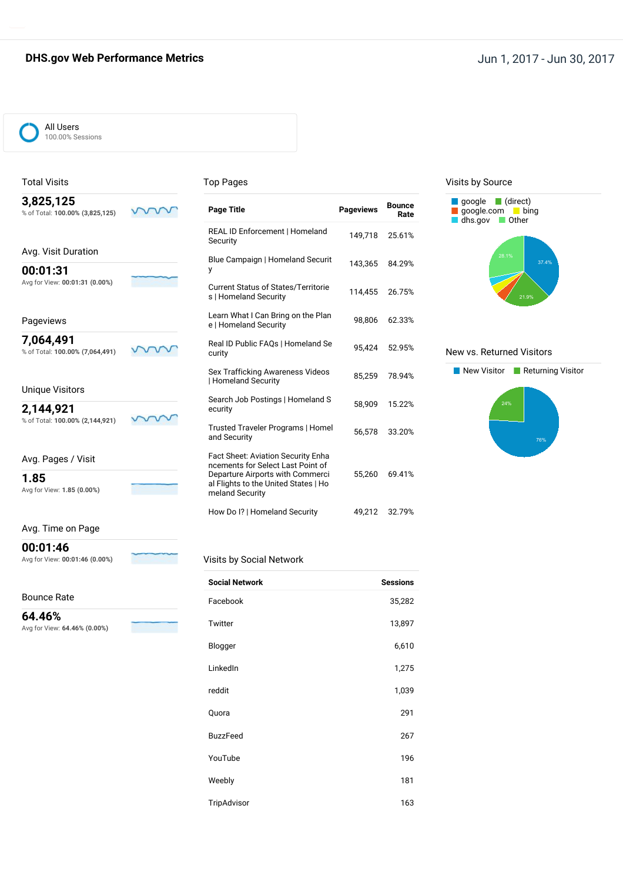## **DHS.gov Web Performance Metrics Jun 1, 2017 - Jun 30, 2017**



#### Total Visits

#### Top Pages

| 3,825,125 |                                 |
|-----------|---------------------------------|
|           | % of Total: 100.00% (3,825,125) |
|           |                                 |

| Avg. Visit Duration                        |
|--------------------------------------------|
| 00:01:31<br>Avg for View: 00:01:31 (0.00%) |

#### Pageviews

**7,064,491** % of Total: **100.00% (7,064,491)**

m  $\checkmark$ 

> $\mathcal{W}$  $\checkmark$  $\checkmark$

m

## Unique Visitors

**2,144,921** % of Total: **100.00% (2,144,921)**

Avg. Pages / Visit

**1.85** Avg for View: **1.85 (0.00%)**

#### Avg. Time on Page

**00:01:46**

Avg for View: **00:01:46 (0.00%)**

#### Bounce Rate

**64.46%** Avg for View: **64.46% (0.00%)**

| <b>Page Title</b>                                                                                                                                                             | <b>Pageviews</b> | Bounce<br>Rate |
|-------------------------------------------------------------------------------------------------------------------------------------------------------------------------------|------------------|----------------|
| REAL ID Enforcement   Homeland<br>Security                                                                                                                                    | 149,718          | 25.61%         |
| Blue Campaign   Homeland Securit<br>y                                                                                                                                         | 143,365          | 84.29%         |
| <b>Current Status of States/Territorie</b><br>s   Homeland Security                                                                                                           | 114,455          | 26.75%         |
| Learn What I Can Bring on the Plan<br>e   Homeland Security                                                                                                                   | 98,806           | 62.33%         |
| Real ID Public FAQs   Homeland Se<br>curity                                                                                                                                   | 95,424           | 52.95%         |
| Sex Trafficking Awareness Videos<br><b>Homeland Security</b>                                                                                                                  | 85,259           | 78.94%         |
| Search Job Postings   Homeland S<br>ecurity                                                                                                                                   | 58,909           | 15.22%         |
| Trusted Traveler Programs   Homel<br>and Security                                                                                                                             | 56.578           | 33.20%         |
| <b>Fact Sheet: Aviation Security Enha</b><br>ncements for Select Last Point of<br>Departure Airports with Commerci<br>al Flights to the United States   Ho<br>meland Security | 55,260           | 69.41%         |
| How Do I?   Homeland Security                                                                                                                                                 | 49.212           | 32.79%         |

#### Visits by Source



#### New vs. Returned Visitors



### Visits by Social Network

| <b>Social Network</b> | <b>Sessions</b> |
|-----------------------|-----------------|
| Facebook              | 35,282          |
| Twitter               | 13,897          |
| Blogger               | 6,610           |
| LinkedIn              | 1,275           |
| reddit                | 1,039           |
| Quora                 | 291             |
| <b>BuzzFeed</b>       | 267             |
| YouTube               | 196             |
| Weebly                | 181             |
| TripAdvisor           | 163             |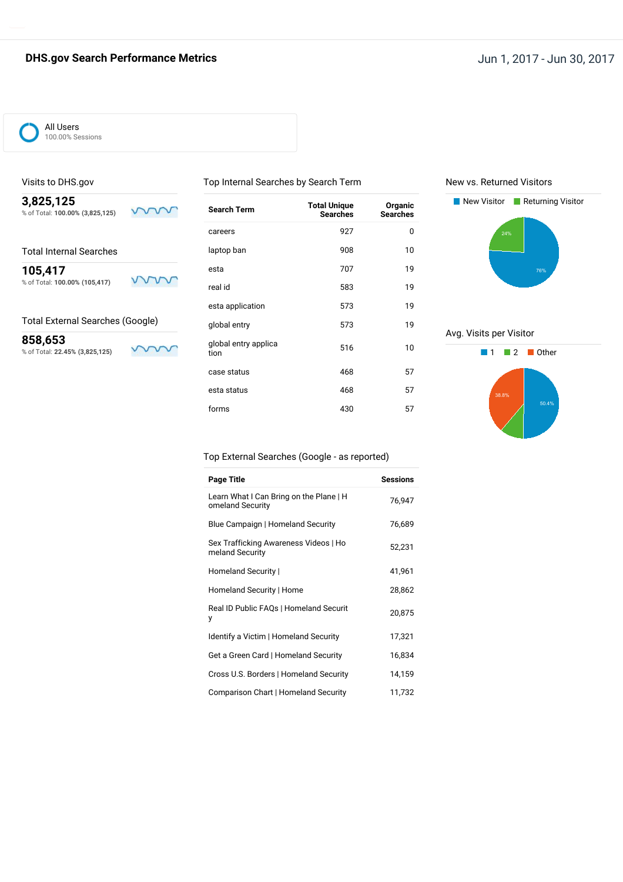## **DHS.gov Search Performance Metrics Jun 1, 2017 - Jun 30, 2017**



#### Visits to DHS.gov

**3,825,125** % of Total: **100.00% (3,825,125)**

**105,417** % of Total: **100.00% (105,417)**

### Total External Searches (Google)

**858,653** % of Total: **22.45% (3,825,125)**

 $\checkmark$  $\sqrt{}$ 

mm

vv

ν

| Search Term                  | <b>Total Unique</b><br><b>Searches</b> | Organic<br><b>Searches</b> |
|------------------------------|----------------------------------------|----------------------------|
| careers                      | 927                                    | 0                          |
| laptop ban                   | 908                                    | 10                         |
| esta                         | 707                                    | 19                         |
| real id                      | 583                                    | 19                         |
| esta application             | 573                                    | 19                         |
| global entry                 | 573                                    | 19                         |
| global entry applica<br>tion | 516                                    | 10                         |
| case status                  | 468                                    | 57                         |
| esta status                  | 468                                    | 57                         |
| forms                        | 430                                    | 57                         |
|                              |                                        |                            |

Top Internal Searches by Search Term

New vs. Returned Visitors



Avg. Visits per Visitor



### Top External Searches (Google - as reported)

| Page Title                                                  | <b>Sessions</b> |
|-------------------------------------------------------------|-----------------|
| Learn What I Can Bring on the Plane   H<br>omeland Security | 76,947          |
| Blue Campaign   Homeland Security                           | 76,689          |
| Sex Trafficking Awareness Videos   Ho<br>meland Security    | 52,231          |
| Homeland Security                                           | 41,961          |
| Homeland Security   Home                                    | 28,862          |
| Real ID Public FAQs   Homeland Securit<br>у                 | 20,875          |
| Identify a Victim   Homeland Security                       | 17,321          |
| Get a Green Card   Homeland Security                        | 16,834          |
| Cross U.S. Borders   Homeland Security                      | 14,159          |
| Comparison Chart   Homeland Security                        | 11,732          |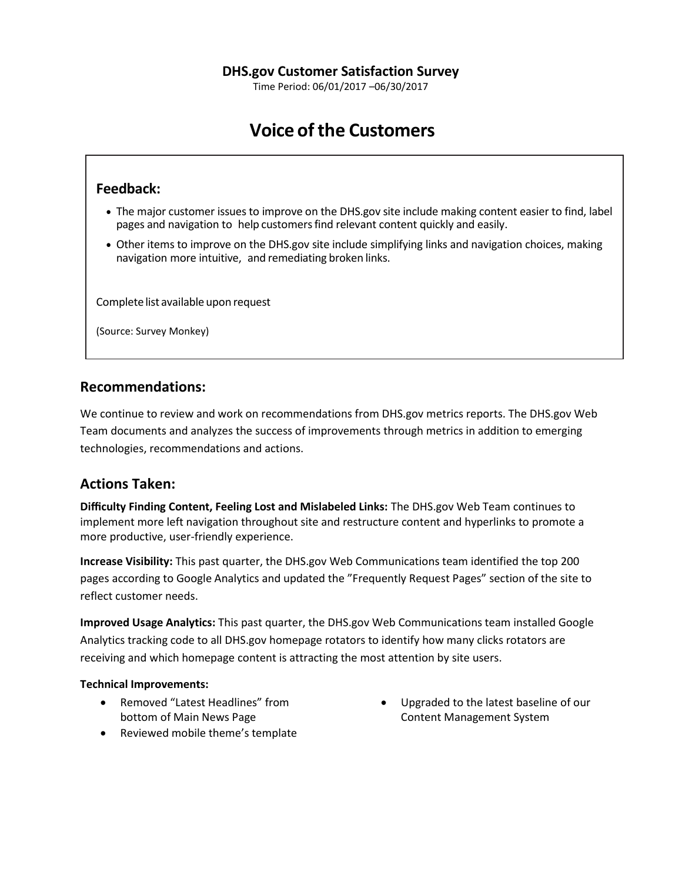Time Period: 06/01/2017 –06/30/2017

# **Voice of the Customers**

## **Feedback:**

- The major customer issues to improve on the DHS.gov site include making content easier to find, label pages and navigation to help customers find relevant content quickly and easily.
- Other items to improve on the DHS.gov site include simplifying links and navigation choices, making navigation more intuitive, and remediating broken links.

Complete list available upon request

(Source: Survey Monkey)

## **Recommendations:**

We continue to review and work on recommendations from DHS.gov metrics reports. The DHS.gov Web Team documents and analyzes the success of improvements through metrics in addition to emerging technologies, recommendations and actions.

## **Actions Taken:**

**Difficulty Finding Content, Feeling Lost and Mislabeled Links:** The DHS.gov Web Team continues to implement more left navigation throughout site and restructure content and hyperlinks to promote a more productive, user-friendly experience.

**Increase Visibility:** This past quarter, the DHS.gov Web Communications team identified the top 200 pages according to Google Analytics and updated the "Frequently Request Pages" section of the site to reflect customer needs.

**Improved Usage Analytics:** This past quarter, the DHS.gov Web Communications team installed Google Analytics tracking code to all DHS.gov homepage rotators to identify how many clicks rotators are receiving and which homepage content is attracting the most attention by site users.

### **Technical Improvements:**

- Removed "Latest Headlines" from bottom of Main News Page
- Reviewed mobile theme's template
- Upgraded to the latest baseline of our Content Management System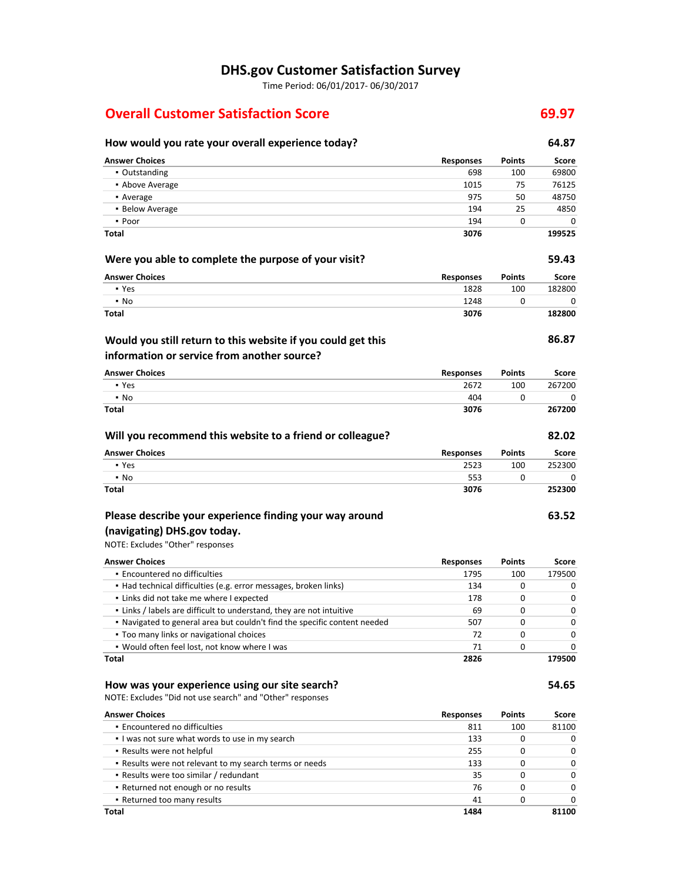## **DHS.gov Customer Satisfaction Survey**

Time Period: 06/01/2017- 06/30/2017

## **Overall Customer Satisfaction Score 69.97**

## **How would you rate your overall experience today? 64.87 Answer Choices Responses Points Score** ▪ Outstanding 698 100 69800 **• Above Average 1015 75 76125** • Average 18750 **48750** 18750 18750 18750 18750 18750 18750 18750 18750 18750 18750 18750 18750 18750 18750 18750 18750 18750 18750 18750 18750 18750 18750 18750 18750 18750 18750 18750 18750 18750 18750 18750 18750 18750 ▪ Below Average 194 25 4850 ▪ Poor 194 0 0 **Total 3076 199525 Were you able to complete the purpose of your visit? 59.43 Answer Choices Responses Points Score** ▪ Yes 1828 100 182800 ▪ No 1248 0 0 **Total 3076 182800 86.87 Answer Choices Responses Points Score** ▪ Yes 2672 100 267200 ▪ No 404 0 0 **Total 3076 267200 Will you recommend this website to a friend or colleague? 82.02 Answer Choices Responses Points Score** ▪ Yes 2523 100 252300  $\bullet$  No  $\bullet$  0 0 0  $\bullet$  0 0 0  $\bullet$  553 0 0 0 0 0  $\bullet$ **Total 3076 252300 63.52** NOTE: Excludes "Other" responses **Answer Choices Responses Points Score Would you still return to this website if you could get this information or service from another source? Please describe your experience finding your way around (navigating) DHS.gov today.**

| Total                                                                     | 2826 |     | 179500   |
|---------------------------------------------------------------------------|------|-----|----------|
| . Would often feel lost, not know where I was                             | 71   | 0   | O        |
| • Too many links or navigational choices                                  | 72   | 0   | $\Omega$ |
| . Navigated to general area but couldn't find the specific content needed | 507  | 0   | $\Omega$ |
| . Links / labels are difficult to understand, they are not intuitive      | 69   |     | 0        |
| • Links did not take me where I expected                                  | 178  | 0   | $\Omega$ |
| • Had technical difficulties (e.g. error messages, broken links)          | 134  |     | 0        |
| • Encountered no difficulties                                             | 1795 | 100 | 179500   |

#### **How was your experience using our site search? 54.65**

NOTE: Excludes "Did not use search" and "Other" responses

| <b>Answer Choices</b>                                   | <b>Responses</b> | <b>Points</b> | Score    |
|---------------------------------------------------------|------------------|---------------|----------|
| • Encountered no difficulties                           | 811              | 100           | 81100    |
| I was not sure what words to use in my search           | 133              | 0             | $\Omega$ |
| • Results were not helpful                              | 255              | 0             | $\Omega$ |
| . Results were not relevant to my search terms or needs | 133              | 0             | $\Omega$ |
| • Results were too similar / redundant                  | 35               | O             | $\Omega$ |
| • Returned not enough or no results                     | 76               | 0             | $\Omega$ |
| • Returned too many results                             | 41               | 0             | $\Omega$ |
| Total                                                   | 1484             |               | 81100    |